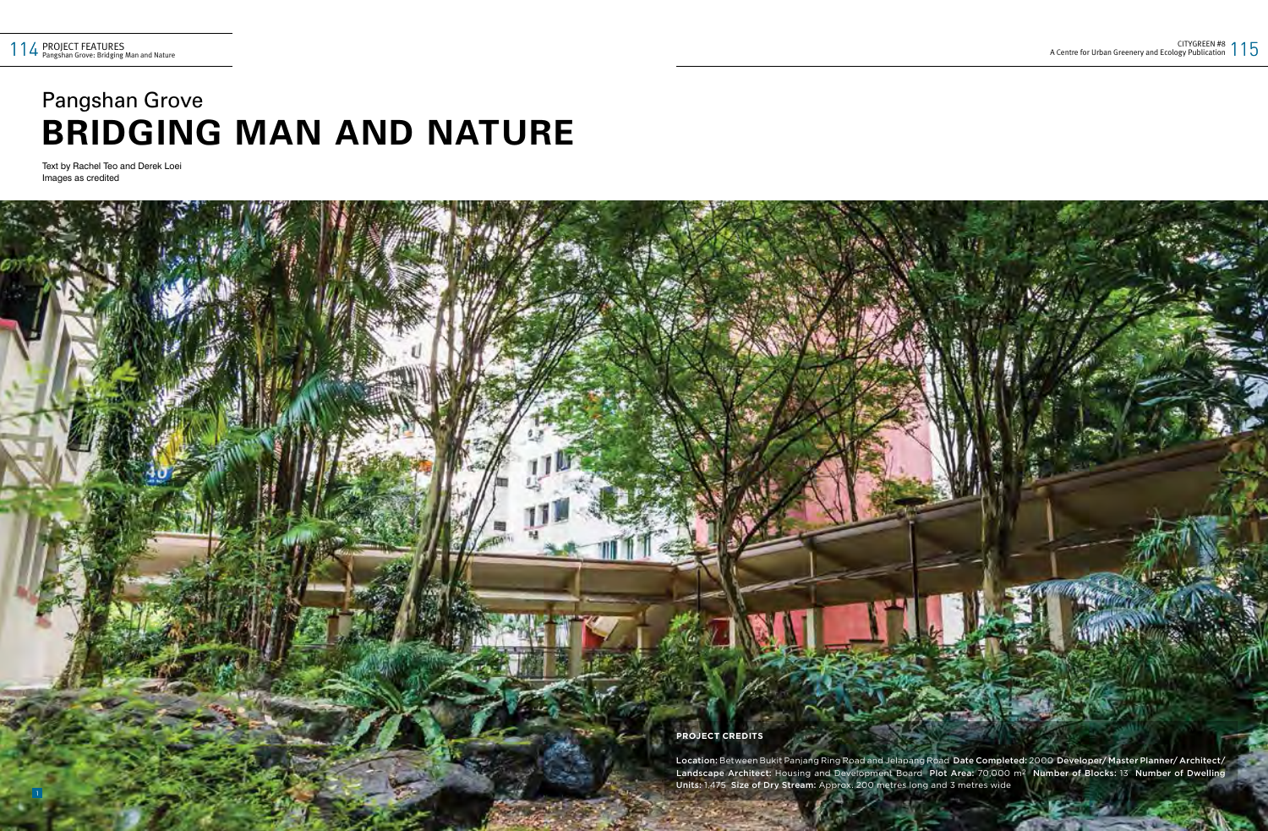Text by Rachel Teo and Derek Loei Images as credited

# **Bridging Man and Nature** Pangshan Grove

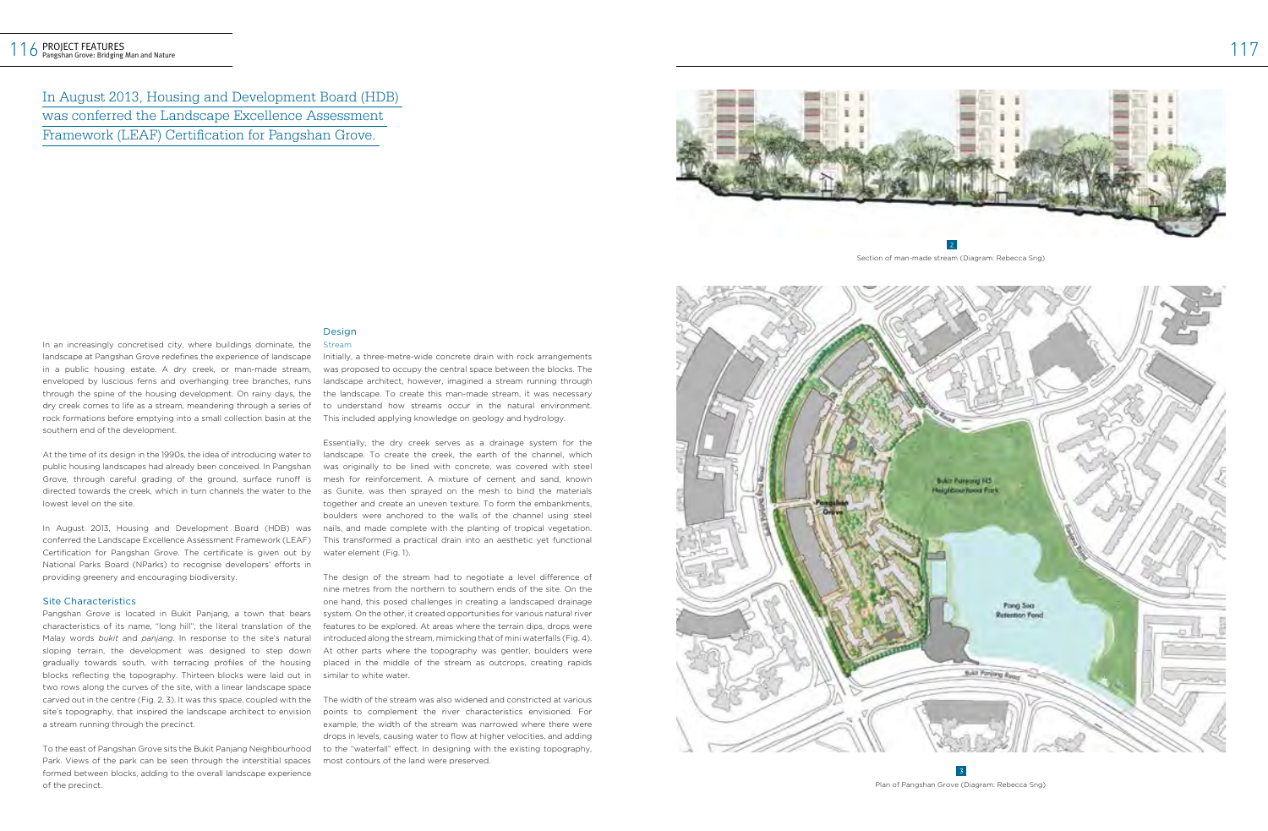In an increasingly concretised city, where buildings dominate, the landscape at Pangshan Grove redefines the experience of landscape in a public housing estate. A dry creek, or man-made stream, enveloped by luscious ferns and overhanging tree branches, runs through the spine of the housing development. On rainy days, the dry creek comes to life as a stream, meandering through a series of rock formations before emptying into a small collection basin at the southern end of the development.

At the time of its design in the 1990s, the idea of introducing water to public housing landscapes had already been conceived. In Pangshan Grove, through careful grading of the ground, surface runoff is directed towards the creek, which in turn channels the water to the as Gunite, was then sprayed on the mesh to bind the materials lowest level on the site.

conferred the Landscape Excellence Assessment Framework (LEAF) Certification for Pangshan Grove. The certificate is given out by National Parks Board (NParks) to recognise developers' efforts in providing greenery and encouraging biodiversity.

## Site Characteristics

### Design **Stream**

Pangshan Grove is located in Bukit Panjang, a town that bears characteristics of its name, "long hill", the literal translation of the Malay words *bukit* and *panjang*. In response to the site's natural sloping terrain, the development was designed to step down gradually towards south, with terracing profiles of the housing blocks reflecting the topography. Thirteen blocks were laid out in two rows along the curves of the site, with a linear landscape space carved out in the centre (Fig. 2, 3). It was this space, coupled with the site's topography, that inspired the landscape architect to envision a stream running through the precinct.

In August 2013, Housing and Development Board (HDB) was nails, and made complete with the planting of tropical vegetation. Essentially, the dry creek serves as a drainage system for the landscape. To create the creek, the earth of the channel, which was originally to be lined with concrete, was covered with steel mesh for reinforcement. A mixture of cement and sand, known together and create an uneven texture. To form the embankments, boulders were anchored to the walls of the channel using steel This transformed a practical drain into an aesthetic yet functional water element (Fig. 1).

Park. Views of the park can be seen through the interstitial spaces formed between blocks, adding to the overall landscape experience of the precinct.

In August 2013, Housing and Development Board (HDB) was conferred the Landscape Excellence Assessment Framework (LEAF) Certification for Pangshan Grove.



Plan of Pangshan Grove (Diagram: Rebecca Sng)



Section of man-made stream (Diagram: Rebecca Sng)

Initially, a three-metre-wide concrete drain with rock arrangements was proposed to occupy the central space between the blocks. The landscape architect, however, imagined a stream running through the landscape. To create this man-made stream, it was necessary to understand how streams occur in the natural environment. This included applying knowledge on geology and hydrology.

To the east of Pangshan Grove sits the Bukit Panjang Neighbourhood to the "waterfall" effect. In designing with the existing topography, The width of the stream was also widened and constricted at various points to complement the river characteristics envisioned. For example, the width of the stream was narrowed where there were drops in levels, causing water to flow at higher velocities, and adding most contours of the land were preserved.

The design of the stream had to negotiate a level difference of nine metres from the northern to southern ends of the site. On the one hand, this posed challenges in creating a landscaped drainage system. On the other, it created opportunities for various natural river features to be explored. At areas where the terrain dips, drops were introduced along the stream, mimicking that of mini waterfalls (Fig. 4). At other parts where the topography was gentler, boulders were placed in the middle of the stream as outcrops, creating rapids similar to white water.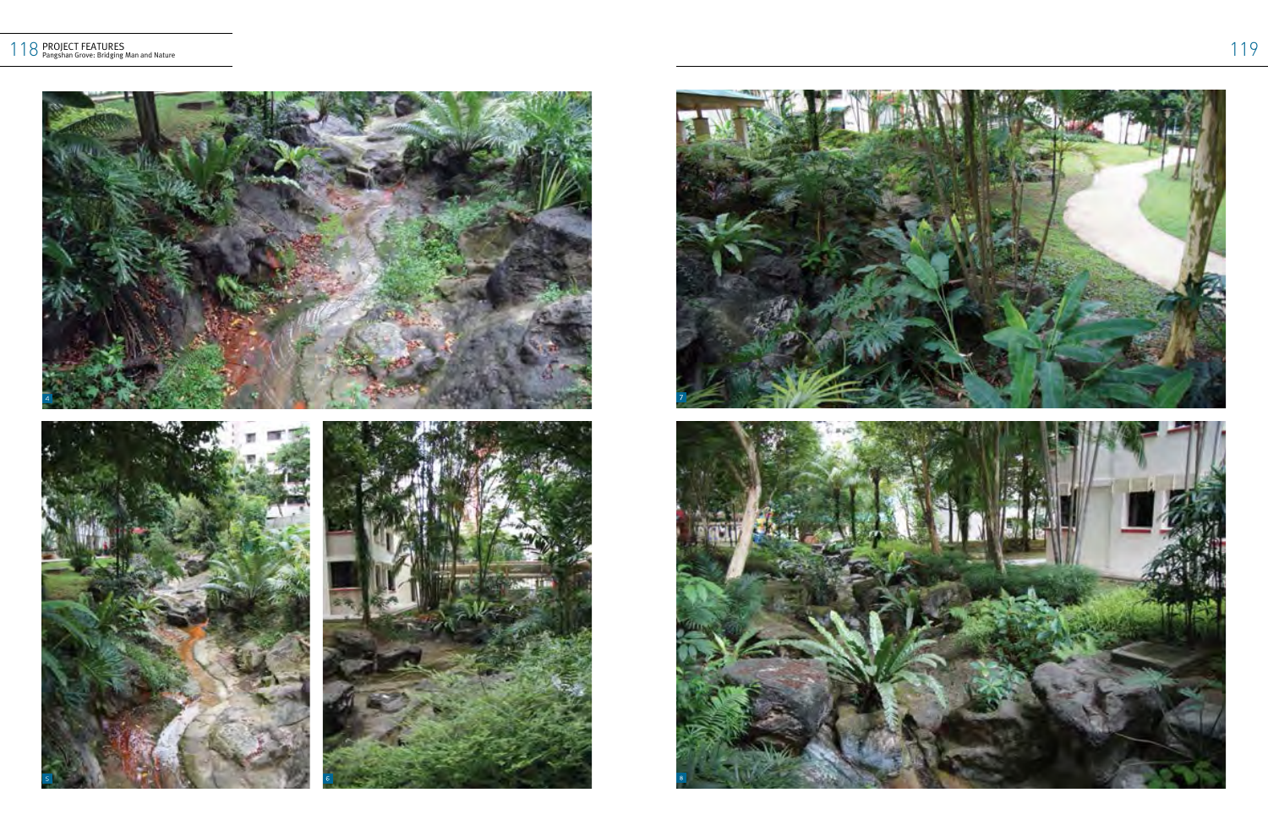